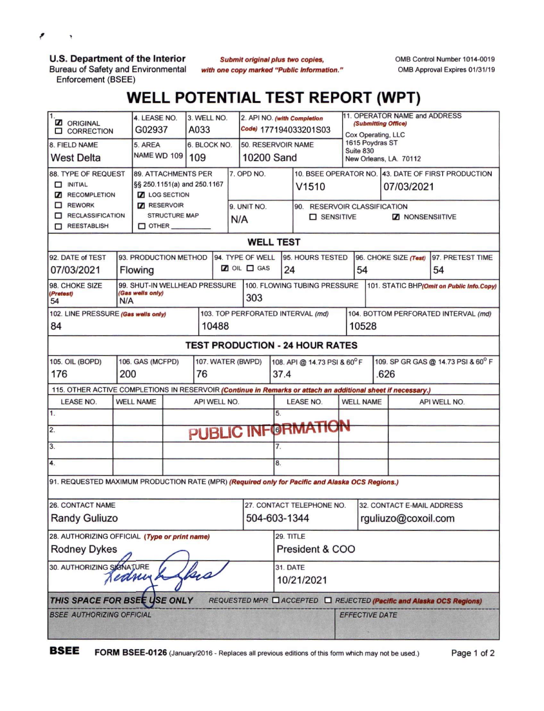٠

**U.S. Department of the Interior**

Bureau of Safety and Environmental Enforcement (BSEE)

 $Submit$  *original plus two copies, with one copy marked "Public Information.'* OMB Control Number 1014-0019 OMB Approval Expires 01/31/19

## **WELL POTENTIAL TEST REPORT (WPT)**

| 1.<br><b>Z</b> ORIGINAL<br><b>O CORRECTION</b>                                                               | 4. LEASE NO.<br>G02937                                          |                                   | 3. WELL NO.<br>A033 |                   |                             |                              | 2. API NO. (with Completion<br>Code) 177194033201S03          |                                      | 11. OPERATOR NAME and ADDRESS<br>(Submitting Office)<br>Cox Operating, LLC |                                                    |  |  |
|--------------------------------------------------------------------------------------------------------------|-----------------------------------------------------------------|-----------------------------------|---------------------|-------------------|-----------------------------|------------------------------|---------------------------------------------------------------|--------------------------------------|----------------------------------------------------------------------------|----------------------------------------------------|--|--|
| 8. FIELD NAME                                                                                                | 5. AREA                                                         | 6. BLOCK NO.                      |                     |                   |                             | 50. RESERVOIR NAME           |                                                               | 1615 Poydras ST<br>Suite 830         |                                                                            |                                                    |  |  |
| <b>West Delta</b>                                                                                            | <b>NAME WD 109</b>                                              | 109                               |                     |                   | 10200 Sand                  |                              |                                                               | New Orleans, LA. 70112               |                                                                            |                                                    |  |  |
| 88. TYPE OF REQUEST<br><b>89. ATTACHMENTS PER</b>                                                            |                                                                 |                                   |                     |                   | 7. OPD NO.                  |                              |                                                               |                                      |                                                                            | 10. BSEE OPERATOR NO. 43. DATE OF FIRST PRODUCTION |  |  |
| $\Box$ INITIAL                                                                                               | §§ 250.1151(a) and 250.1167                                     |                                   |                     |                   |                             |                              | V <sub>1510</sub>                                             |                                      |                                                                            | 07/03/2021                                         |  |  |
| <b>Z</b> RECOMPLETION<br>$\Box$ REWORK                                                                       | <b>Z</b> LOG SECTION<br><b>Z</b> RESERVOIR                      |                                   |                     |                   | 9. UNIT NO.                 |                              | 90. RESERVOIR CLASSIFICATION                                  |                                      |                                                                            |                                                    |  |  |
| RECLASSIFICATION                                                                                             | <b>STRUCTURE MAP</b>                                            |                                   |                     | N/A               |                             |                              | $\square$ SENSITIVE                                           |                                      | <b>Z</b> NONSENSIITIVE                                                     |                                                    |  |  |
| REESTABLISH                                                                                                  | $\square$ other $\square$                                       |                                   |                     |                   |                             |                              |                                                               |                                      |                                                                            |                                                    |  |  |
| <b>WELL TEST</b>                                                                                             |                                                                 |                                   |                     |                   |                             |                              |                                                               |                                      |                                                                            |                                                    |  |  |
| 94. TYPE OF WELL<br>92. DATE of TEST<br>93. PRODUCTION METHOD                                                |                                                                 |                                   |                     |                   |                             |                              | 95. HOURS TESTED<br>97. PRETEST TIME<br>96. CHOKE SIZE (Test) |                                      |                                                                            |                                                    |  |  |
| 07/03/2021                                                                                                   | Flowing                                                         |                                   |                     | $20 \nL \Box$ GAS |                             |                              | 24                                                            |                                      | 54<br>54                                                                   |                                                    |  |  |
| 98. CHOKE SIZE<br>(Pretest)<br>54                                                                            | 99. SHUT-IN WELLHEAD PRESSURE<br>(Gas wells only)<br>303<br>N/A |                                   |                     |                   |                             | 100. FLOWING TUBING PRESSURE |                                                               |                                      | 101. STATIC BHP(Omit on Public Info.Copy)                                  |                                                    |  |  |
| 102. LINE PRESSURE (Gas wells only)                                                                          |                                                                 | 103. TOP PERFORATED INTERVAL (md) |                     |                   |                             |                              |                                                               | 104. BOTTOM PERFORATED INTERVAL (md) |                                                                            |                                                    |  |  |
| 84                                                                                                           |                                                                 | 10488                             |                     |                   |                             |                              |                                                               | 10528                                |                                                                            |                                                    |  |  |
| <b>TEST PRODUCTION - 24 HOUR RATES</b>                                                                       |                                                                 |                                   |                     |                   |                             |                              |                                                               |                                      |                                                                            |                                                    |  |  |
| 105. OIL (BOPD)<br>106. GAS (MCFPD)<br>107. WATER (BWPD)                                                     |                                                                 |                                   |                     |                   | 108. API @ 14.73 PSI & 60°F |                              |                                                               | 109. SP GR GAS @ 14.73 PSI & 60° F   |                                                                            |                                                    |  |  |
| 200<br>176<br>76                                                                                             |                                                                 |                                   |                     | 37.4              |                             |                              |                                                               | .626                                 |                                                                            |                                                    |  |  |
| 115. OTHER ACTIVE COMPLETIONS IN RESERVOIR (Continue in Remarks or attach an additional sheet if necessary.) |                                                                 |                                   |                     |                   |                             |                              |                                                               |                                      |                                                                            |                                                    |  |  |
| LEASE NO.                                                                                                    | <b>WELL NAME</b><br>API WELL NO.                                |                                   |                     |                   |                             |                              | <b>LEASE NO.</b>                                              |                                      | <b>WELL NAME</b>                                                           | API WELL NO.                                       |  |  |
| $\mathbf 1$ .                                                                                                | 5.                                                              |                                   |                     |                   |                             |                              |                                                               |                                      |                                                                            |                                                    |  |  |
| $\overline{2}$                                                                                               | PUBLIC INFORMATION                                              |                                   |                     |                   |                             |                              |                                                               |                                      |                                                                            |                                                    |  |  |
| 3.                                                                                                           |                                                                 |                                   |                     |                   |                             |                              | 7.                                                            |                                      |                                                                            |                                                    |  |  |
| 4.                                                                                                           |                                                                 |                                   |                     |                   | 8.                          |                              |                                                               |                                      |                                                                            |                                                    |  |  |
| 91. REQUESTED MAXIMUM PRODUCTION RATE (MPR) (Required only for Pacific and Alaska OCS Regions.)              |                                                                 |                                   |                     |                   |                             |                              |                                                               |                                      |                                                                            |                                                    |  |  |
| 26. CONTACT NAME                                                                                             |                                                                 |                                   |                     |                   |                             | 27. CONTACT TELEPHONE NO.    |                                                               |                                      |                                                                            | 32. CONTACT E-MAIL ADDRESS                         |  |  |
| <b>Randy Guliuzo</b>                                                                                         |                                                                 |                                   |                     |                   |                             | 504-603-1344                 |                                                               |                                      | rguliuzo@coxoil.com                                                        |                                                    |  |  |
| 28. AUTHORIZING OFFICIAL (Type or print name)                                                                |                                                                 |                                   |                     |                   |                             | 29. TITLE                    |                                                               |                                      |                                                                            |                                                    |  |  |
| <b>Rodney Dykes</b>                                                                                          |                                                                 |                                   |                     |                   |                             | President & COO              |                                                               |                                      |                                                                            |                                                    |  |  |
| 30. AUTHORIZING SIGNATURE<br>lss<br>Jedney                                                                   |                                                                 |                                   |                     |                   |                             | 31. DATE                     |                                                               |                                      |                                                                            |                                                    |  |  |
|                                                                                                              |                                                                 |                                   |                     |                   |                             | 10/21/2021                   |                                                               |                                      |                                                                            |                                                    |  |  |
| THIS SPACE FOR BSEE USE ONLY<br>REQUESTED MPR Q ACCEPTED Q REJECTED (Pacific and Alaska OCS Regions)         |                                                                 |                                   |                     |                   |                             |                              |                                                               |                                      |                                                                            |                                                    |  |  |
| <b>BSEE AUTHORIZING OFFICIAL</b>                                                                             |                                                                 |                                   |                     |                   |                             |                              |                                                               | <b>EFFECTIVE DATE</b>                |                                                                            |                                                    |  |  |